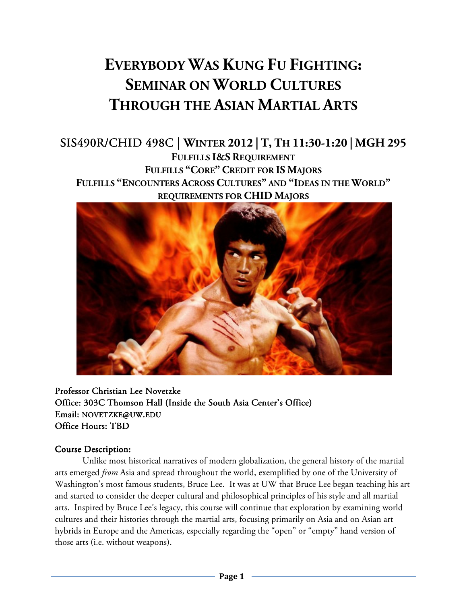# **EVERYBODY WAS KUNG FU FIGHTING: SEMINAR ON WORLD CULTURES THROUGH THE ASIAN MARTIAL ARTS**

## SIS490R/CHID 498C | **WINTER 2012 | T, TH 11:30-1:20 | MGH 295 FULFILLS I&S REQUIREMENT FULFILLS "CORE" CREDIT FOR IS MAJORS FULFILLS "ENCOUNTERS ACROSS CULTURES" AND "IDEAS IN THE WORLD" REQUIREMENTS FOR CHID MAJORS**



Professor Christian Lee Novetzke Office: 303C Thomson Hall (Inside the South Asia Center's Office) Email: NOVETZKE@UW.EDU Office Hours: TBD

#### Course Description:

Unlike most historical narratives of modern globalization, the general history of the martial arts emerged *from* Asia and spread throughout the world, exemplified by one of the University of Washington's most famous students, Bruce Lee. It was at UW that Bruce Lee began teaching his art and started to consider the deeper cultural and philosophical principles of his style and all martial arts. Inspired by Bruce Lee's legacy, this course will continue that exploration by examining world cultures and their histories through the martial arts, focusing primarily on Asia and on Asian art hybrids in Europe and the Americas, especially regarding the "open" or "empty" hand version of those arts (i.e. without weapons).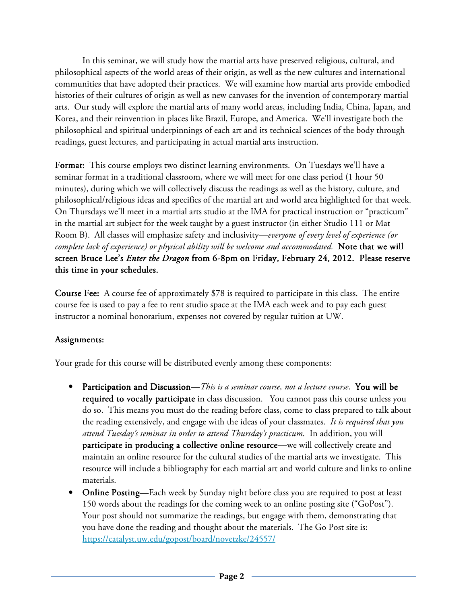In this seminar, we will study how the martial arts have preserved religious, cultural, and philosophical aspects of the world areas of their origin, as well as the new cultures and international communities that have adopted their practices. We will examine how martial arts provide embodied histories of their cultures of origin as well as new canvases for the invention of contemporary martial arts. Our study will explore the martial arts of many world areas, including India, China, Japan, and Korea, and their reinvention in places like Brazil, Europe, and America. We'll investigate both the philosophical and spiritual underpinnings of each art and its technical sciences of the body through readings, guest lectures, and participating in actual martial arts instruction.

Format: This course employs two distinct learning environments. On Tuesdays we'll have a seminar format in a traditional classroom, where we will meet for one class period (1 hour 50 minutes), during which we will collectively discuss the readings as well as the history, culture, and philosophical/religious ideas and specifics of the martial art and world area highlighted for that week. On Thursdays we'll meet in a martial arts studio at the IMA for practical instruction or "practicum" in the martial art subject for the week taught by a guest instructor (in either Studio 111 or Mat Room B). All classes will emphasize safety and inclusivity—*everyone of every level of experience (or complete lack of experience) or physical ability will be welcome and accommodated.* Note that we will screen Bruce Lee's *Enter the Dragon* from 6-8pm on Friday, February 24, 2012. Please reserve this time in your schedules.

**Course Fee:** A course fee of approximately \$78 is required to participate in this class. The entire course fee is used to pay a fee to rent studio space at the IMA each week and to pay each guest instructor a nominal honorarium, expenses not covered by regular tuition at UW.

#### Assignments:

Your grade for this course will be distributed evenly among these components:

- Participation and Discussion—*This is a seminar course, not a lecture course*. You will be required to vocally participate in class discussion. You cannot pass this course unless you do so. This means you must do the reading before class, come to class prepared to talk about the reading extensively, and engage with the ideas of your classmates. *It is required that you attend Tuesday's seminar in order to attend Thursday's practicum.* In addition, you will participate in producing a collective online resource—we will collectively create and maintain an online resource for the cultural studies of the martial arts we investigate. This resource will include a bibliography for each martial art and world culture and links to online materials.
- Online Posting—Each week by Sunday night before class you are required to post at least 150 words about the readings for the coming week to an online posting site ("GoPost"). Your post should not summarize the readings, but engage with them, demonstrating that you have done the reading and thought about the materials. The Go Post site is: https://catalyst.uw.edu/gopost/board/novetzke/24557/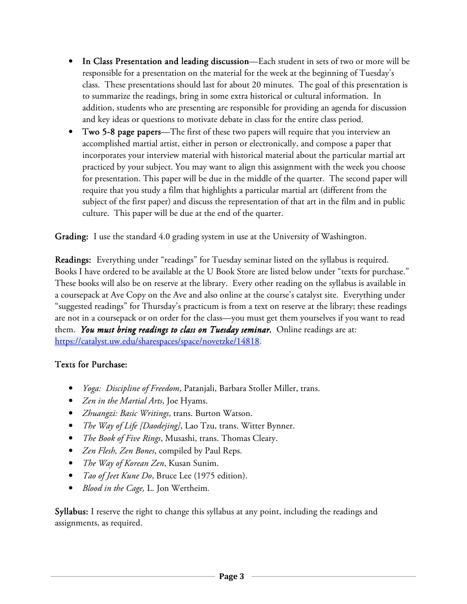- In Class Presentation and leading discussion—Each student in sets of two or more will be responsible for a presentation on the material for the week at the beginning of Tuesday's class. These presentations should last for about 20 minutes. The goal of this presentation is to summarize the readings, bring in some extra historical or cultural information. In addition, students who are presenting are responsible for providing an agenda for discussion and key ideas or questions to motivate debate in class for the entire class period.
- **Two 5-8 page papers—The first of these two papers will require that you interview an** accomplished martial artist, either in person or electronically, and compose a paper that incorporates your interview material with historical material about the particular martial art practiced by your subject. You may want to align this assignment with the week you choose for presentation. This paper will be due in the middle of the quarter. The second paper will require that you study a film that highlights a particular martial art (different from the subject of the first paper) and discuss the representation of that art in the film and in public culture. This paper will be due at the end of the quarter.

Grading: I use the standard 4.0 grading system in use at the University of Washington.

Readings: Everything under "readings" for Tuesday seminar listed on the syllabus is required. Books I have ordered to be available at the U Book Store are listed below under "texts for purchase." These books will also be on reserve at the library. Every other reading on the syllabus is available in a coursepack at Ave Copy on the Ave and also online at the course's catalyst site. Everything under "suggested readings" for Thursday's practicum is from a text on reserve at the library; these readings are not in a coursepack or on order for the class—you must get them yourselves if you want to read them. *You must bring readings to class on Tuesday seminar.* Online readings are at: https://catalyst.uw.edu/sharespaces/space/novetzke/14818.

#### Texts for Purchase:

- *Yoga: Discipline of Freedom*, Patanjali, Barbara Stoller Miller, trans.
- *Zen in the Martial Arts*, Joe Hyams.
- *Zhuangzi: Basic Writings*, trans. Burton Watson.
- *The Way of Life [Daodejing]*, Lao Tzu, trans. Witter Bynner.
- *The Book of Five Rings*, Musashi, trans. Thomas Cleary.
- *Zen Flesh, Zen Bones*, compiled by Paul Reps.
- *The Way of Korean Zen*, Kusan Sunim.
- *Tao of Jeet Kune Do*, Bruce Lee (1975 edition).
- *Blood in the Cage,* L. Jon Wertheim*.*

Syllabus: I reserve the right to change this syllabus at any point, including the readings and assignments, as required.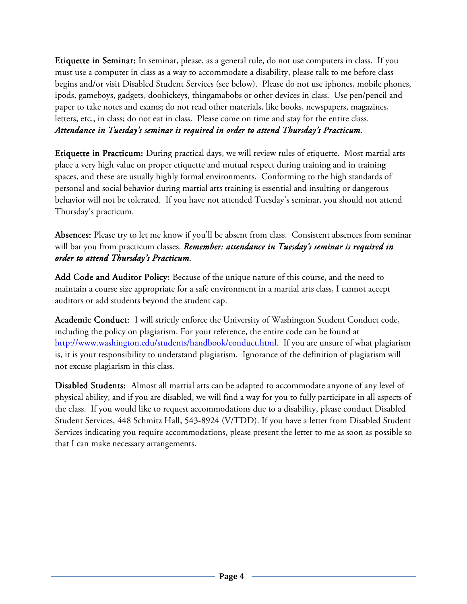Etiquette in Seminar: In seminar, please, as a general rule, do not use computers in class. If you must use a computer in class as a way to accommodate a disability, please talk to me before class begins and/or visit Disabled Student Services (see below). Please do not use iphones, mobile phones, ipods, gameboys, gadgets, doohickeys, thingamabobs or other devices in class. Use pen/pencil and paper to take notes and exams; do not read other materials, like books, newspapers, magazines, letters, etc., in class; do not eat in class. Please come on time and stay for the entire class. *Attendance in Tuesday's seminar is required in order to attend Thursday's Practicum.* 

**Etiquette in Practicum:** During practical days, we will review rules of etiquette. Most martial arts place a very high value on proper etiquette and mutual respect during training and in training spaces, and these are usually highly formal environments. Conforming to the high standards of personal and social behavior during martial arts training is essential and insulting or dangerous behavior will not be tolerated. If you have not attended Tuesday's seminar, you should not attend Thursday's practicum.

Absences: Please try to let me know if you'll be absent from class. Consistent absences from seminar will bar you from practicum classes. *Remember: attendance in Tuesday's seminar is required in order to attend Thursday's Practicum.*

Add Code and Auditor Policy: Because of the unique nature of this course, and the need to maintain a course size appropriate for a safe environment in a martial arts class, I cannot accept auditors or add students beyond the student cap.

Academic Conduct: I will strictly enforce the University of Washington Student Conduct code, including the policy on plagiarism. For your reference, the entire code can be found at http://www.washington.edu/students/handbook/conduct.html. If you are unsure of what plagiarism is, it is your responsibility to understand plagiarism. Ignorance of the definition of plagiarism will not excuse plagiarism in this class.

Disabled Students: Almost all martial arts can be adapted to accommodate anyone of any level of physical ability, and if you are disabled, we will find a way for you to fully participate in all aspects of the class. If you would like to request accommodations due to a disability, please conduct Disabled Student Services, 448 Schmitz Hall, 543-8924 (V/TDD). If you have a letter from Disabled Student Services indicating you require accommodations, please present the letter to me as soon as possible so that I can make necessary arrangements.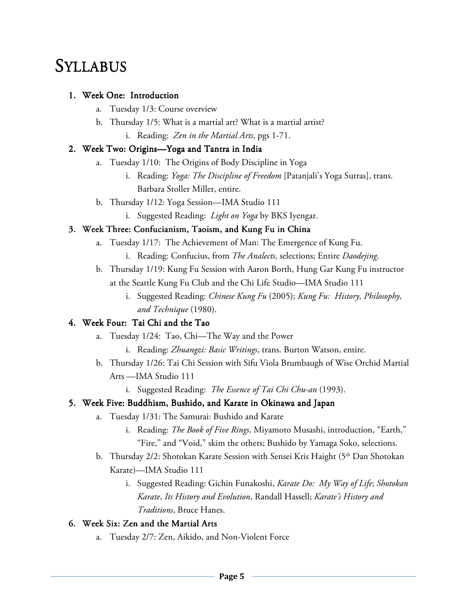# **SYLLABUS**

#### 1. Week One: Introduction

- a. Tuesday 1/3: Course overview
- b. Thursday 1/5: What is a martial art? What is a martial artist?
	- i. Reading: *Zen in the Martial Arts*, pgs 1-71.

### 2. Week Two: Origins-Yoga and Tantra in India

- a. Tuesday 1/10: The Origins of Body Discipline in Yoga
	- i. Reading: *Yoga: The Discipline of Freedom* [Patanjali's Yoga Sutras], trans. Barbara Stoller Miller, entire.
- b. Thursday 1/12: Yoga Session—IMA Studio 111
	- i. Suggested Reading: *Light on Yoga* by BKS Iyengar.

#### 3. Week Three: Confucianism, Taoism, and Kung Fu in China

- a. Tuesday 1/17: The Achievement of Man: The Emergence of Kung Fu.
	- i. Reading: Confucius, from *The Analects*, selections; Entire *Daodejing*.
- b. Thursday 1/19: Kung Fu Session with Aaron Borth, Hung Gar Kung Fu instructor at the Seattle Kung Fu Club and the Chi Life Studio—IMA Studio 111
	- i. Suggested Reading: *Chinese Kung Fu* (2005); *Kung Fu: History, Philosophy, and Technique* (1980).

### 4. Week Four: Tai Chi and the Tao

- a. Tuesday 1/24: Tao, Chi—The Way and the Power
	- i. Reading: *Zhuangzi: Basic Writings*, trans. Burton Watson, entire.
- b. Thursday 1/26: Tai Chi Session with Sifu Viola Brumbaugh of Wise Orchid Martial Arts —IMA Studio 111
	- i. Suggested Reading: *The Essence of Tai Chi Chu-an* (1993).

#### 5. Week Five: Buddhism, Bushido, and Karate in Okinawa and Japan

- a. Tuesday 1/31: The Samurai: Bushido and Karate
	- i. Reading: *The Book of Five Rings*, Miyamoto Musashi, introduction, "Earth," "Fire," and "Void," skim the others; Bushido by Yamaga Soko, selections.
- b. Thursday 2/2: Shotokan Karate Session with Sensei Kris Haight (5<sup>th</sup> Dan Shotokan Karate)—IMA Studio 111
	- i. Suggested Reading: Gichin Funakoshi, *Karate Do: My Way of Life*; *Shotokan Karate*, *Its History and Evolution*, Randall Hassell; *Karate's History and Traditions*, Bruce Hanes.

#### 6. Week Six: Zen and the Martial Arts

a. Tuesday 2/7: Zen, Aikido, and Non-Violent Force